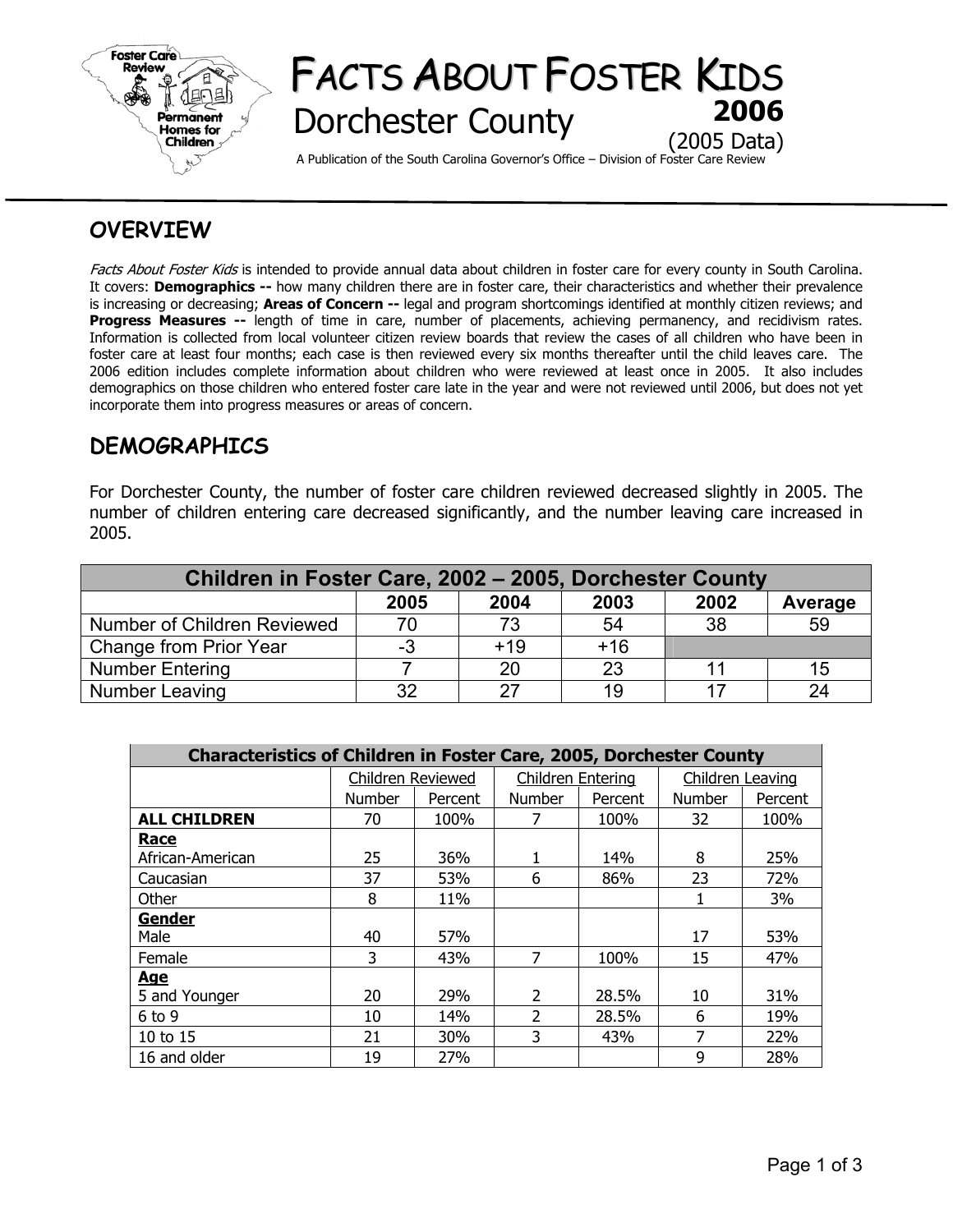

# FACTS ABOUT FOSTER KIDS **Dorchester County** (2005 Data)

A Publication of the South Carolina Governor's Office – Division of Foster Care Review

## **OVERVIEW**

Facts About Foster Kids is intended to provide annual data about children in foster care for every county in South Carolina. It covers: **Demographics --** how many children there are in foster care, their characteristics and whether their prevalence is increasing or decreasing; **Areas of Concern --** legal and program shortcomings identified at monthly citizen reviews; and **Progress Measures --** length of time in care, number of placements, achieving permanency, and recidivism rates. Information is collected from local volunteer citizen review boards that review the cases of all children who have been in foster care at least four months; each case is then reviewed every six months thereafter until the child leaves care. The 2006 edition includes complete information about children who were reviewed at least once in 2005. It also includes demographics on those children who entered foster care late in the year and were not reviewed until 2006, but does not yet incorporate them into progress measures or areas of concern.

## **DEMOGRAPHICS**

For Dorchester County, the number of foster care children reviewed decreased slightly in 2005. The number of children entering care decreased significantly, and the number leaving care increased in 2005.

| Children in Foster Care, 2002 - 2005, Dorchester County |      |       |       |      |         |  |  |
|---------------------------------------------------------|------|-------|-------|------|---------|--|--|
|                                                         | 2005 | 2004  | 2003  | 2002 | Average |  |  |
| Number of Children Reviewed                             | 70   | 73    | 54    | 38   | 59      |  |  |
| Change from Prior Year                                  | -3   | $+19$ | $+16$ |      |         |  |  |
| <b>Number Entering</b>                                  |      | 20    | 23    |      | 15      |  |  |
| Number Leaving                                          | 32   | 27    | 19    |      | 24      |  |  |

| <b>Characteristics of Children in Foster Care, 2005, Dorchester County</b> |                   |         |                   |         |                  |         |  |  |
|----------------------------------------------------------------------------|-------------------|---------|-------------------|---------|------------------|---------|--|--|
|                                                                            | Children Reviewed |         | Children Entering |         | Children Leaving |         |  |  |
|                                                                            | <b>Number</b>     | Percent | Number            | Percent | Number           | Percent |  |  |
| <b>ALL CHILDREN</b>                                                        | 70                | 100%    |                   | 100%    | 32               | 100%    |  |  |
| <b>Race</b>                                                                |                   |         |                   |         |                  |         |  |  |
| African-American                                                           | 25                | 36%     |                   | 14%     | 8                | 25%     |  |  |
| Caucasian                                                                  | 37                | 53%     | 6                 | 86%     | 23               | 72%     |  |  |
| Other                                                                      | 8                 | 11%     |                   |         |                  | 3%      |  |  |
| Gender                                                                     |                   |         |                   |         |                  |         |  |  |
| Male                                                                       | 40                | 57%     |                   |         | 17               | 53%     |  |  |
| Female                                                                     | 3                 | 43%     | 7                 | 100%    | 15               | 47%     |  |  |
| <u>Age</u>                                                                 |                   |         |                   |         |                  |         |  |  |
| 5 and Younger                                                              | 20                | 29%     | $\overline{2}$    | 28.5%   | 10               | 31%     |  |  |
| $6$ to $9$                                                                 | 10                | 14%     | $\mathcal{P}$     | 28.5%   | 6                | 19%     |  |  |
| 10 to 15                                                                   | 21                | 30%     | 3                 | 43%     | 7                | 22%     |  |  |
| 16 and older                                                               | 19                | 27%     |                   |         | 9                | 28%     |  |  |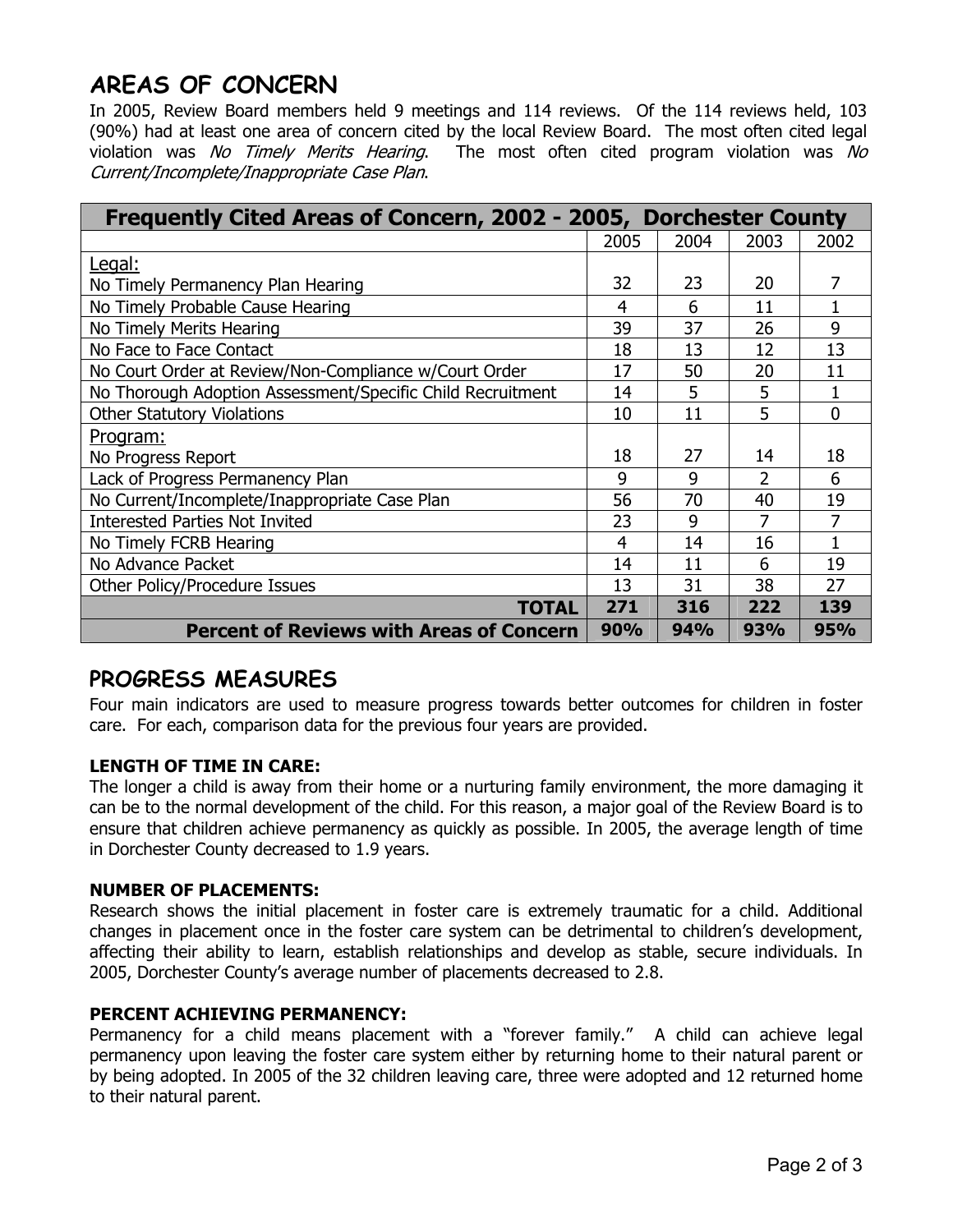## **AREAS OF CONCERN**

In 2005, Review Board members held 9 meetings and 114 reviews. Of the 114 reviews held, 103 (90%) had at least one area of concern cited by the local Review Board. The most often cited legal violation was No Timely Merits Hearing. The most often cited program violation was No Current/Incomplete/Inappropriate Case Plan.

| Frequently Cited Areas of Concern, 2002 - 2005, Dorchester County |            |            |            |            |
|-------------------------------------------------------------------|------------|------------|------------|------------|
|                                                                   | 2005       | 2004       | 2003       | 2002       |
| Legal:                                                            |            |            |            |            |
| No Timely Permanency Plan Hearing                                 | 32         | 23         | 20         |            |
| No Timely Probable Cause Hearing                                  | 4          | 6          | 11         |            |
| No Timely Merits Hearing                                          | 39         | 37         | 26         | 9          |
| No Face to Face Contact                                           | 18         | 13         | 12         | 13         |
| No Court Order at Review/Non-Compliance w/Court Order             | 17         | 50         | 20         | 11         |
| No Thorough Adoption Assessment/Specific Child Recruitment        | 14         | 5          | 5          |            |
| <b>Other Statutory Violations</b>                                 |            | 11         | 5          | 0          |
| <u>Program:</u>                                                   |            |            |            |            |
| No Progress Report                                                |            | 27         | 14         | 18         |
| Lack of Progress Permanency Plan                                  | 9          | 9          | 2          | 6          |
| No Current/Incomplete/Inappropriate Case Plan                     | 56         | 70         | 40         | 19         |
| <b>Interested Parties Not Invited</b>                             | 23         | 9          | 7          | 7          |
| No Timely FCRB Hearing                                            | 4          | 14         | 16         |            |
| No Advance Packet                                                 | 14         | 11         | 6          | 19         |
| Other Policy/Procedure Issues                                     | 13         | 31         | 38         | 27         |
| <b>TOTAL</b>                                                      | 271        | 316        | 222        | 139        |
| <b>Percent of Reviews with Areas of Concern</b>                   | <b>90%</b> | <b>94%</b> | <b>93%</b> | <b>95%</b> |

## **PROGRESS MEASURES**

Four main indicators are used to measure progress towards better outcomes for children in foster care. For each, comparison data for the previous four years are provided.

### **LENGTH OF TIME IN CARE:**

The longer a child is away from their home or a nurturing family environment, the more damaging it can be to the normal development of the child. For this reason, a major goal of the Review Board is to ensure that children achieve permanency as quickly as possible. In 2005, the average length of time in Dorchester County decreased to 1.9 years.

### **NUMBER OF PLACEMENTS:**

Research shows the initial placement in foster care is extremely traumatic for a child. Additional changes in placement once in the foster care system can be detrimental to children's development, affecting their ability to learn, establish relationships and develop as stable, secure individuals. In 2005, Dorchester County's average number of placements decreased to 2.8.

### **PERCENT ACHIEVING PERMANENCY:**

Permanency for a child means placement with a "forever family." A child can achieve legal permanency upon leaving the foster care system either by returning home to their natural parent or by being adopted. In 2005 of the 32 children leaving care, three were adopted and 12 returned home to their natural parent.